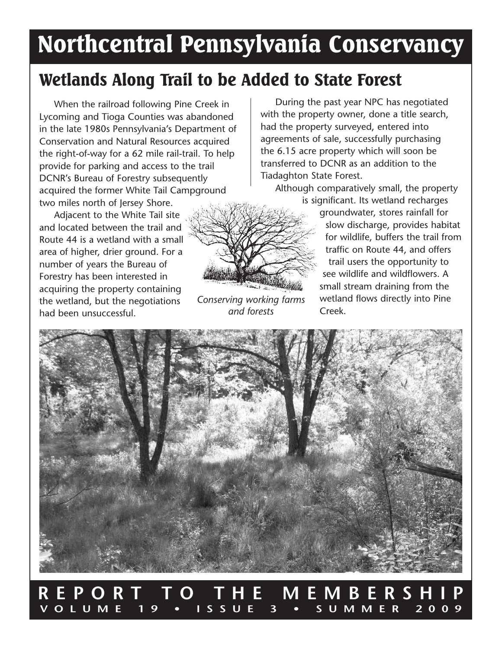# Northcentral Pennsylvania Conservancy

## Wetlands Along Trail to be Added to State Forest

When the railroad following Pine Creek in Lycoming and Tioga Counties was abandoned in the late 1980s Pennsylvania's Department of Conservation and Natural Resources acquired the right-of-way for a 62 mile rail-trail. To help provide for parking and access to the trail DCNR's Bureau of Forestry subsequently acquired the former White Tail Campground two miles north of Jersey Shore.

Adjacent to the White Tail site and located between the trail and Route 44 is a wetland with a small area of higher, drier ground. For a number of years the Bureau of Forestry has been interested in acquiring the property containing the wetland, but the negotiations had been unsuccessful.



*Conserving working farms and forests*

During the past year NPC has negotiated with the property owner, done a title search, had the property surveyed, entered into agreements of sale, successfully purchasing the 6.15 acre property which will soon be transferred to DCNR as an addition to the Tiadaghton State Forest.

Although comparatively small, the property is significant. Its wetland recharges

> groundwater, stores rainfall for slow discharge, provides habitat for wildlife, buffers the trail from traffic on Route 44, and offers trail users the opportunity to see wildlife and wildflowers. A small stream draining from the wetland flows directly into Pine Creek.



### **REPORT TO THE MEMBERSHIP VOLUME 19 • ISSUE 3 • SUMMER 2009**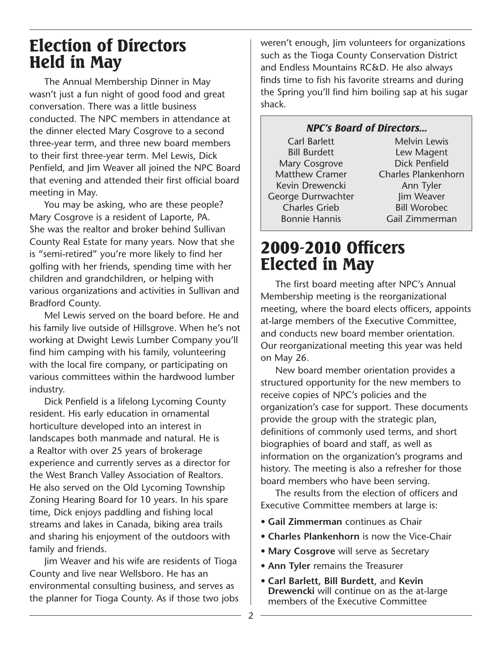### Election of Directors Held in May

The Annual Membership Dinner in May wasn't just a fun night of good food and great conversation. There was a little business conducted. The NPC members in attendance at the dinner elected Mary Cosgrove to a second three-year term, and three new board members to their first three-year term. Mel Lewis, Dick Penfield, and Jim Weaver all joined the NPC Board that evening and attended their first official board meeting in May.

You may be asking, who are these people? Mary Cosgrove is a resident of Laporte, PA. She was the realtor and broker behind Sullivan County Real Estate for many years. Now that she is "semi-retired" you're more likely to find her golfing with her friends, spending time with her children and grandchildren, or helping with various organizations and activities in Sullivan and Bradford County.

Mel Lewis served on the board before. He and his family live outside of Hillsgrove. When he's not working at Dwight Lewis Lumber Company you'll find him camping with his family, volunteering with the local fire company, or participating on various committees within the hardwood lumber industry.

Dick Penfield is a lifelong Lycoming County resident. His early education in ornamental horticulture developed into an interest in landscapes both manmade and natural. He is a Realtor with over 25 years of brokerage experience and currently serves as a director for the West Branch Valley Association of Realtors. He also served on the Old Lycoming Township Zoning Hearing Board for 10 years. In his spare time, Dick enjoys paddling and fishing local streams and lakes in Canada, biking area trails and sharing his enjoyment of the outdoors with family and friends.

Jim Weaver and his wife are residents of Tioga County and live near Wellsboro. He has an environmental consulting business, and serves as the planner for Tioga County. As if those two jobs weren't enough, Jim volunteers for organizations such as the Tioga County Conservation District and Endless Mountains RC&D. He also always finds time to fish his favorite streams and during the Spring you'll find him boiling sap at his sugar shack.

### NPC's Board of Directors...

Carl Barlett Bill Burdett Mary Cosgrove Matthew Cramer Kevin Drewencki George Durrwachter Charles Grieb Bonnie Hannis

Melvin Lewis Lew Magent Dick Penfield Charles Plankenhorn Ann Tyler Jim Weaver Bill Worobec Gail Zimmerman

### 2009-2010 Officers Elected in May

The first board meeting after NPC's Annual Membership meeting is the reorganizational meeting, where the board elects officers, appoints at-large members of the Executive Committee, and conducts new board member orientation. Our reorganizational meeting this year was held on May 26.

New board member orientation provides a structured opportunity for the new members to receive copies of NPC's policies and the organization's case for support. These documents provide the group with the strategic plan, definitions of commonly used terms, and short biographies of board and staff, as well as information on the organization's programs and history. The meeting is also a refresher for those board members who have been serving.

The results from the election of officers and Executive Committee members at large is:

- **Gail Zimmerman** continues as Chair
- **Charles Plankenhorn** is now the Vice-Chair
- **Mary Cosgrove** will serve as Secretary
- **Ann Tyler** remains the Treasurer
- **Carl Barlett, Bill Burdett**, and **Kevin Drewencki** will continue on as the at-large members of the Executive Committee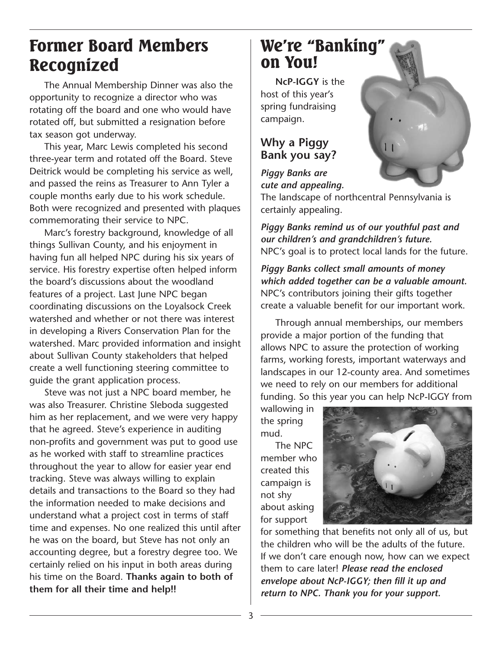### Former Board Members Recognized

The Annual Membership Dinner was also the opportunity to recognize a director who was rotating off the board and one who would have rotated off, but submitted a resignation before tax season got underway.

This year, Marc Lewis completed his second three-year term and rotated off the Board. Steve Deitrick would be completing his service as well, and passed the reins as Treasurer to Ann Tyler a couple months early due to his work schedule. Both were recognized and presented with plaques commemorating their service to NPC.

Marc's forestry background, knowledge of all things Sullivan County, and his enjoyment in having fun all helped NPC during his six years of service. His forestry expertise often helped inform the board's discussions about the woodland features of a project. Last June NPC began coordinating discussions on the Loyalsock Creek watershed and whether or not there was interest in developing a Rivers Conservation Plan for the watershed. Marc provided information and insight about Sullivan County stakeholders that helped create a well functioning steering committee to guide the grant application process.

Steve was not just a NPC board member, he was also Treasurer. Christine Sleboda suggested him as her replacement, and we were very happy that he agreed. Steve's experience in auditing non-profits and government was put to good use as he worked with staff to streamline practices throughout the year to allow for easier year end tracking. Steve was always willing to explain details and transactions to the Board so they had the information needed to make decisions and understand what a project cost in terms of staff time and expenses. No one realized this until after he was on the board, but Steve has not only an accounting degree, but a forestry degree too. We certainly relied on his input in both areas during his time on the Board. **Thanks again to both of them for all their time and help!!**

### We're "Banking" on You!

**NcP-IGGY** is the host of this year's spring fundraising campaign.

### **Why a Piggy Bank you say?**

*Piggy Banks are cute and appealing.* 

The landscape of northcentral Pennsylvania is certainly appealing.

*Piggy Banks remind us of our youthful past and our children's and grandchildren's future.*  NPC's goal is to protect local lands for the future.

*Piggy Banks collect small amounts of money which added together can be a valuable amount.*  NPC's contributors joining their gifts together create a valuable benefit for our important work.

Through annual memberships, our members provide a major portion of the funding that allows NPC to assure the protection of working farms, working forests, important waterways and landscapes in our 12-county area. And sometimes we need to rely on our members for additional funding. So this year you can help NcP-IGGY from

wallowing in the spring mud.

The NPC member who created this campaign is not shy about asking for support



for something that benefits not only all of us, but the children who will be the adults of the future. If we don't care enough now, how can we expect them to care later! *Please read the enclosed envelope about NcP-IGGY; then fill it up and return to NPC. Thank you for your support.*

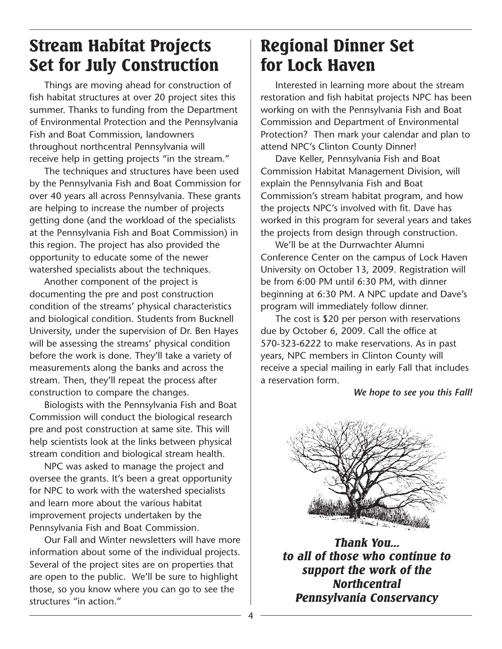## Stream Habitat Projects Set for July Construction

Things are moving ahead for construction of fish habitat structures at over 20 project sites this summer. Thanks to funding from the Department of Environmental Protection and the Pennsylvania Fish and Boat Commission, landowners throughout northcentral Pennsylvania will receive help in getting projects "in the stream."

The techniques and structures have been used by the Pennsylvania Fish and Boat Commission for over 40 years all across Pennsylvania. These grants are helping to increase the number of projects getting done (and the workload of the specialists at the Pennsylvania Fish and Boat Commission) in this region. The project has also provided the opportunity to educate some of the newer watershed specialists about the techniques.

Another component of the project is documenting the pre and post construction condition of the streams' physical characteristics and biological condition. Students from Bucknell University, under the supervision of Dr. Ben Hayes will be assessing the streams' physical condition before the work is done. They'll take a variety of measurements along the banks and across the stream. Then, they'll repeat the process after construction to compare the changes.

Biologists with the Pennsylvania Fish and Boat Commission will conduct the biological research pre and post construction at same site. This will help scientists look at the links between physical stream condition and biological stream health.

NPC was asked to manage the project and oversee the grants. It's been a great opportunity for NPC to work with the watershed specialists and learn more about the various habitat improvement projects undertaken by the Pennsylvania Fish and Boat Commission.

Our Fall and Winter newsletters will have more information about some of the individual projects. Several of the project sites are on properties that are open to the public. We'll be sure to highlight those, so you know where you can go to see the structures "in action."

## Regional Dinner Set for Lock Haven

Interested in learning more about the stream restoration and fish habitat projects NPC has been working on with the Pennsylvania Fish and Boat Commission and Department of Environmental Protection? Then mark your calendar and plan to attend NPC's Clinton County Dinner!

Dave Keller, Pennsylvania Fish and Boat Commission Habitat Management Division, will explain the Pennsylvania Fish and Boat Commission's stream habitat program, and how the projects NPC's involved with fit. Dave has worked in this program for several years and takes the projects from design through construction.

We'll be at the Durrwachter Alumni Conference Center on the campus of Lock Haven University on October 13, 2009. Registration will be from 6:00 PM until 6:30 PM, with dinner beginning at 6:30 PM. A NPC update and Dave's program will immediately follow dinner.

The cost is \$20 per person with reservations due by October 6, 2009. Call the office at 570-323-6222 to make reservations. As in past years, NPC members in Clinton County will receive a special mailing in early Fall that includes a reservation form.

#### *We hope to see you this Fall!*



*Thank You... to all of those who continue to support the work of the Northcentral Pennsylvania Conservancy*

4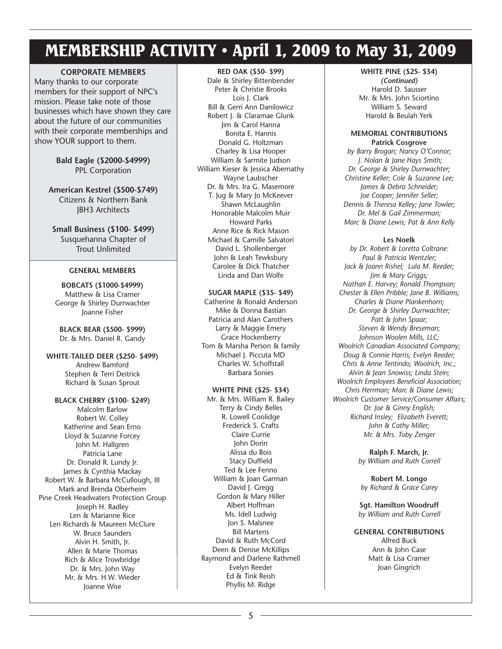### MEMBERSHIP ACTIVITY • April 1, 2009 to May 31, 2009

#### **CORPORATE MEMBERS**

Many thanks to our corporate members for their support of NPC's mission. Please take note of those businesses which have shown they care about the future of our communities with their corporate memberships and show YOUR support to them.

> **Bald Eagle (\$2000-\$4999)** PPL Corporation

**American Kestrel (\$500-\$749)** Citizens & Northern Bank JBH3 Architects

**Small Business (\$100- \$499)** Susquehanna Chapter of Trout Unlimited

#### **GENERAL MEMBERS**

**BOBCATS (\$1000-\$4999)** Matthew & Lisa Cramer George & Shirley Durrwachter Joanne Fisher

**BLACK BEAR (\$500- \$999)** Dr. & Mrs. Daniel R. Gandy

**WHITE-TAILED DEER (\$250- \$499)** Andrew Bamford Stephen & Terri Deitrick Richard & Susan Sprout

#### **BLACK CHERRY (\$100- \$249)** Malcolm Barlow Robert W. Colley Katherine and Sean Erno Lloyd & Suzanne Forcey John M. Hallgren Patricia Lane Dr. Donald R. Lundy Jr. James & Cynthia Mackay Robert W. & Barbara McCullough, III Mark and Brenda Oberheim Pine Creek Headwaters Protection Group Joseph H. Radley Len & Marianne Rice Len Richards & Maureen McClure W. Bruce Saunders Alvin H. Smith, Jr. Allen & Marie Thomas Rich & Alice Trowbridge Dr. & Mrs. John Way Mr. & Mrs. H.W. Wieder Joanne Wise

#### **RED OAK (\$50- \$99)**

Dale & Shirley Bittenbender Peter & Christie Brooks Lois J. Clark Bill & Gerri Ann Danilowicz Robert J. & Claramae Glunk Jim & Carol Hanna Bonita E. Hannis Donald G. Holtzman Charley & Lisa Hooper William & Sarmite Judson William Kieser & Jessica Abernathy Wayne Laubscher Dr. & Mrs. Ira G. Masemore T. Jug & Mary Jo McKeever Shawn McLaughlin Honorable Malcolm Muir Howard Parks Anne Rice & Rick Mason Michael & Camille Salvatori David L. Shollenberger John & Leah Tewksbury Carolee & Dick Thatcher Linda and Dan Wolfe

#### **SUGAR MAPLE (\$35- \$49)**

Catherine & Ronald Anderson Mike & Donna Bastian Patricia and Alan Carothers Larry & Maggie Emery Grace Hockenberry Tom & Marsha Person & family Michael J. Piccuta MD Charles W. Schoffstall Barbara Sonies

#### **WHITE PINE (\$25- \$34)**

Mr. & Mrs. William R. Bailey Terry & Cindy Belles R. Lowell Coolidge Frederick S. Crafts Claire Currie John Dorin Alissa du Bois Stacy Duffield Ted & Lee Fenno William & Joan Garman David J. Gregg Gordon & Mary Hiller Albert Hoffman Ms. Idell Ludwig Jon S. Malsnee Bill Martens David & Ruth McCord Deen & Denise McKillips Raymond and Darlene Rathmell Evelyn Reeder Ed & Tink Reish Phyllis M. Ridge

#### **WHITE PINE (\$25- \$34)**

*(Continued)* Harold D. Sausser Mr. & Mrs. John Sciortino William S. Seward Harold & Beulah Yerk

#### **MEMORIAL CONTRIBUTIONS Patrick Cosgrove**

*by Barry Brogan; Nancy O'Connor; J. Nolan & Jane Hays Smith; Dr. George & Shirley Durrwachter; Christine Keller; Cole & Suzanne Lee; James & Debra Schneider; Joe Cooper; Jennifer Seller; Dennis & Theresa Kelley; Jane Towler; Dr. Mel & Gail Zimmerman; Marc & Diane Lewis; Pat & Ann Kelly*

#### **Les Noelk**

*by Dr. Robert & Loretta Coltrane: Paul & Patricia Wentzler; Jack & Joann Rishel; Lula M. Reeder; Jim & Mary Griggs; Nathan E. Harvey; Ronald Thompson; Chester & Ellen Pribble; Jane B. Williams; Charles & Diane Plankenhorn; Dr. George & Shirley Durrwachter; Patt & John Spaar; Steven & Wendy Breseman; Johnson Woolen Mills, LLC; Woolrich Canadian Associated Company; Doug & Connie Harris; Evelyn Reeder; Chris & Anne Tentindo; Woolrich, Inc.; Alvin & Jean Snowiss; Linda Stein; Woolrich Employees Beneficial Association; Chris Herrman; Marc & Diane Lewis; Woolrich Customer Service/Consumer Affairs; Dr. Joe & Ginny English; Richard Insley; Elizabeth Everett; John & Cathy Miller; Mr. & Mrs. Toby Zenger*

> **Ralph F. March, Jr.** *by William and Ruth Correll*

**Robert M. Longo** *by Richard & Grace Carey*

**Sgt. Hamilton Woodruff** *by William and Ruth Correll*

**GENERAL CONTRIBUTIONS** Alfred Buck Ann & John Case Matt & Lisa Cramer Joan Gingrich